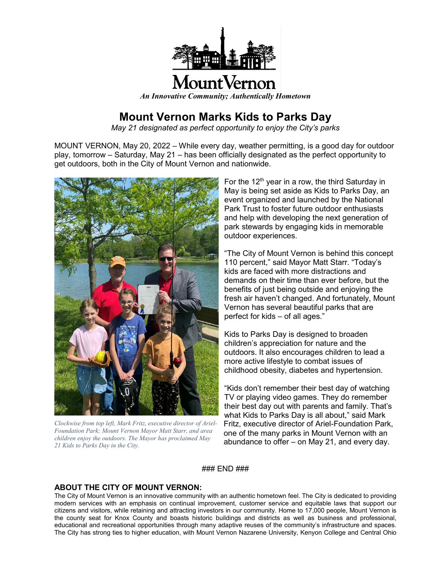

## **Mount Vernon Marks Kids to Parks Day**

*May 21 designated as perfect opportunity to enjoy the City's parks*

MOUNT VERNON, May 20, 2022 – While every day, weather permitting, is a good day for outdoor play, tomorrow – Saturday, May 21 – has been officially designated as the perfect opportunity to get outdoors, both in the City of Mount Vernon and nationwide.



*Clockwise from top left, Mark Fritz, executive director of Ariel-Foundation Park; Mount Vernon Mayor Matt Starr, and area children enjoy the outdoors. The Mayor has proclaimed May 21 Kids to Parks Day in the City.*

For the 12<sup>th</sup> year in a row, the third Saturday in May is being set aside as Kids to Parks Day, an event organized and launched by the National Park Trust to foster future outdoor enthusiasts and help with developing the next generation of park stewards by engaging kids in memorable outdoor experiences.

"The City of Mount Vernon is behind this concept 110 percent," said Mayor Matt Starr. "Today's kids are faced with more distractions and demands on their time than ever before, but the benefits of just being outside and enjoying the fresh air haven't changed. And fortunately, Mount Vernon has several beautiful parks that are perfect for kids – of all ages."

Kids to Parks Day is designed to broaden children's appreciation for nature and the outdoors. It also encourages children to lead a more active lifestyle to combat issues of childhood obesity, diabetes and hypertension.

"Kids don't remember their best day of watching TV or playing video games. They do remember their best day out with parents and family. That's what Kids to Parks Day is all about," said Mark Fritz, executive director of Ariel-Foundation Park, one of the many parks in Mount Vernon with an abundance to offer – on May 21, and every day.

### END ###

## **ABOUT THE CITY OF MOUNT VERNON:**

The City of Mount Vernon is an innovative community with an authentic hometown feel. The City is dedicated to providing modern services with an emphasis on continual improvement, customer service and equitable laws that support our citizens and visitors, while retaining and attracting investors in our community. Home to 17,000 people, Mount Vernon is the county seat for Knox County and boasts historic buildings and districts as well as business and professional, educational and recreational opportunities through many adaptive reuses of the community's infrastructure and spaces. The City has strong ties to higher education, with Mount Vernon Nazarene University, Kenyon College and Central Ohio